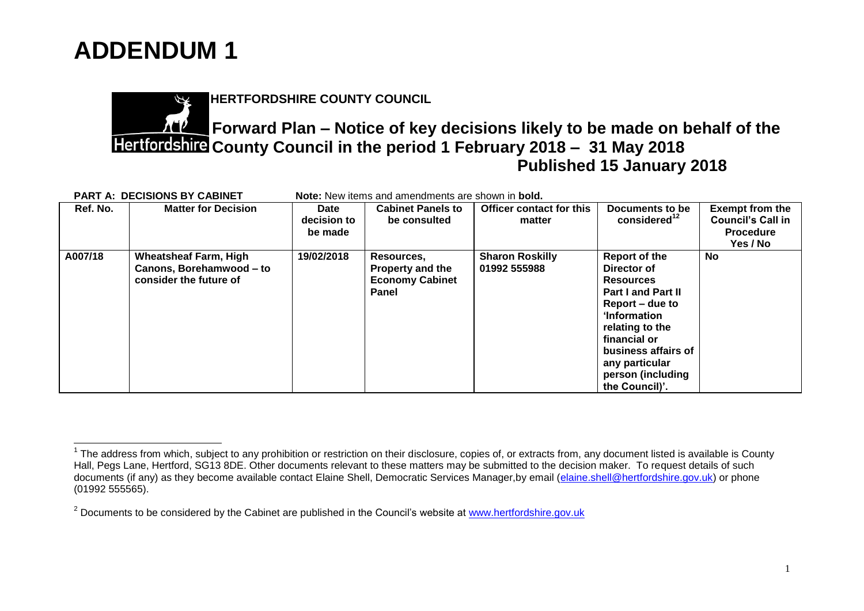

 $\overline{a}$ 

**HERTFORDSHIRE COUNTY COUNCIL**

## **Forward Plan – Notice of key decisions likely to be made on behalf of the County Council in the period 1 February 2018 – 31 May 2018 Published 15 January 2018**

| <b>PART A: DECISIONS BY CABINET</b> |                                                                                    | Note: New items and amendments are shown in bold. |                                                                                 |                                        |                                                                                                                                                                                                                              |                                                                                    |  |  |
|-------------------------------------|------------------------------------------------------------------------------------|---------------------------------------------------|---------------------------------------------------------------------------------|----------------------------------------|------------------------------------------------------------------------------------------------------------------------------------------------------------------------------------------------------------------------------|------------------------------------------------------------------------------------|--|--|
| Ref. No.                            | <b>Matter for Decision</b>                                                         | Date<br>decision to<br>be made                    | <b>Cabinet Panels to</b><br>be consulted                                        | Officer contact for this<br>matter     | Documents to be<br>considered <sup>12</sup>                                                                                                                                                                                  | <b>Exempt from the</b><br><b>Council's Call in</b><br><b>Procedure</b><br>Yes / No |  |  |
| A007/18                             | <b>Wheatsheaf Farm, High</b><br>Canons, Borehamwood - to<br>consider the future of | 19/02/2018                                        | Resources,<br><b>Property and the</b><br><b>Economy Cabinet</b><br><b>Panel</b> | <b>Sharon Roskilly</b><br>01992 555988 | Report of the<br>Director of<br><b>Resources</b><br>Part I and Part II<br>Report – due to<br>'Information<br>relating to the<br>financial or<br>business affairs of<br>any particular<br>person (including<br>the Council)'. | No                                                                                 |  |  |

 $1$  The address from which, subject to any prohibition or restriction on their disclosure, copies of, or extracts from, any document listed is available is County Hall, Pegs Lane, Hertford, SG13 8DE. Other documents relevant to these matters may be submitted to the decision maker. To request details of such documents (if any) as they become available contact Elaine Shell, Democratic Services Manager, by email [\(elaine.shell@hertfordshire.gov.uk\)](mailto:elaine.shell@hertfordshire.gov.uk) or phone (01992 555565).

 $2$  Documents to be considered by the Cabinet are published in the Council's website at [www.hertfordshire.gov.uk](http://www.hertfordshire.gov.uk/)